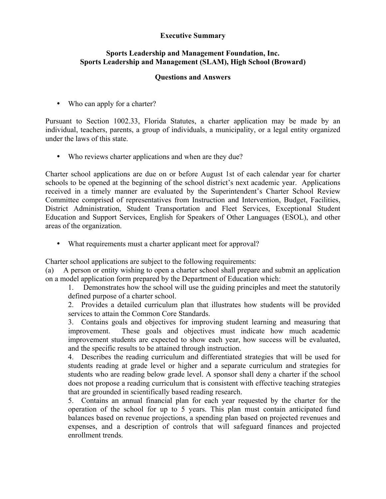## **Executive Summary**

## **Sports Leadership and Management Foundation, Inc. Sports Leadership and Management (SLAM), High School (Broward)**

## **Questions and Answers**

• Who can apply for a charter?

Pursuant to Section 1002.33, Florida Statutes, a charter application may be made by an individual, teachers, parents, a group of individuals, a municipality, or a legal entity organized under the laws of this state.

• Who reviews charter applications and when are they due?

Charter school applications are due on or before August 1st of each calendar year for charter schools to be opened at the beginning of the school district's next academic year. Applications received in a timely manner are evaluated by the Superintendent's Charter School Review Committee comprised of representatives from Instruction and Intervention, Budget, Facilities, District Administration, Student Transportation and Fleet Services, Exceptional Student Education and Support Services, English for Speakers of Other Languages (ESOL), and other areas of the organization.

• What requirements must a charter applicant meet for approval?

Charter school applications are subject to the following requirements:

(a) A person or entity wishing to open a charter school shall prepare and submit an application on a model application form prepared by the Department of Education which:

1. Demonstrates how the school will use the guiding principles and meet the statutorily defined purpose of a charter school.

2. Provides a detailed curriculum plan that illustrates how students will be provided services to attain the Common Core Standards.

3. Contains goals and objectives for improving student learning and measuring that improvement. These goals and objectives must indicate how much academic improvement students are expected to show each year, how success will be evaluated, and the specific results to be attained through instruction.

4. Describes the reading curriculum and differentiated strategies that will be used for students reading at grade level or higher and a separate curriculum and strategies for students who are reading below grade level. A sponsor shall deny a charter if the school does not propose a reading curriculum that is consistent with effective teaching strategies that are grounded in scientifically based reading research.

5. Contains an annual financial plan for each year requested by the charter for the operation of the school for up to 5 years. This plan must contain anticipated fund balances based on revenue projections, a spending plan based on projected revenues and expenses, and a description of controls that will safeguard finances and projected enrollment trends.